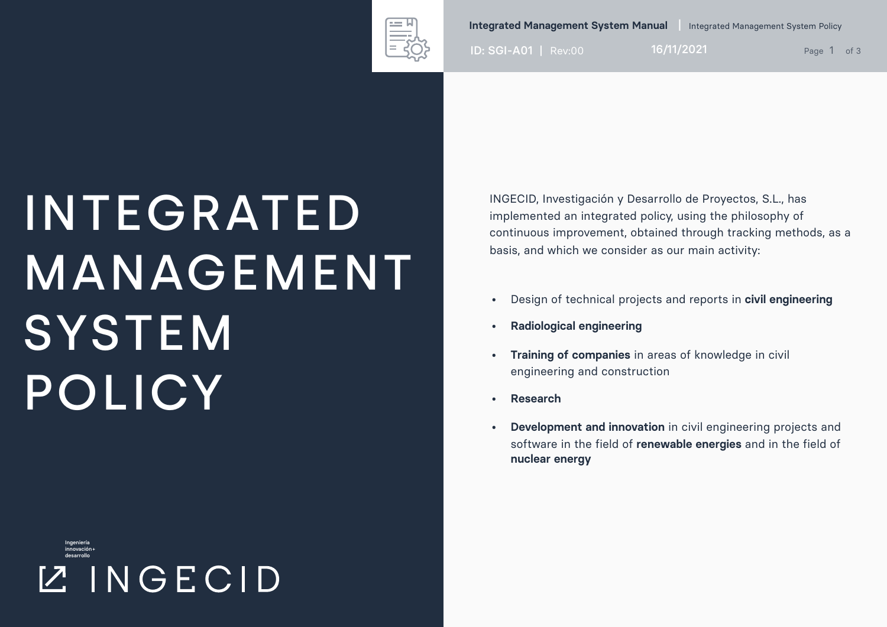

**Integrated Management System Manual** Integrated Management System Policy

ID: SGI-A01 | Rev:00 16/11/2021 Page 1 of 3

## INTEGRATED MANAGEMENT **SYSTEM** POLICY

Ingeniería innovación+ desarrollo **ZINGECID**  INGECID, Investigación y Desarrollo de Proyectos, S.L., has implemented an integrated policy, using the philosophy of continuous improvement, obtained through tracking methods, as a basis, and which we consider as our main activity:

- Design of technical projects and reports in **civil engineering**
- **• Radiological engineering**
- **• Training of companies** in areas of knowledge in civil engineering and construction
- **• Research**
- **• Development and innovation** in civil engineering projects and software in the field of **renewable energies** and in the field of **nuclear energy**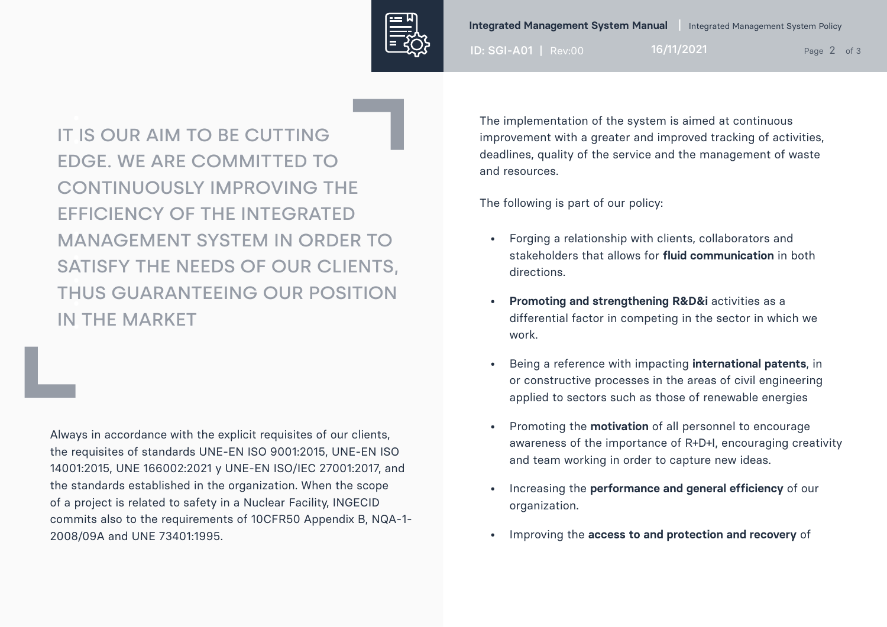

ID: SGI-A01 | Rev:00 16/11/2021 Page 2 of 3

IT IS OUR AIM TO BE CUTTING • EDGE. WE ARE COMMITTED TO CONTINUOUSLY IMPROVING THE EFFICIENCY OF THE INTEGRATED • MANAGEMENT SYSTEM IN ORDER TO • • • • IN THE MARKET SATISFY THE NEEDS OF OUR CLIENTS, THUS GUARANTEEING OUR POSITION

Always in accordance with the explicit requisites of our clients, the requisites of standards UNE-EN ISO 9001:2015, UNE-EN ISO 14001:2015, UNE 166002:2021 y UNE-EN ISO/IEC 27001:2017, and the standards established in the organization. When the scope of a project is related to safety in a Nuclear Facility, INGECID commits also to the requirements of 10CFR50 Appendix B, NQA-1- 2008/09A and UNE 73401:1995.

The implementation of the system is aimed at continuous improvement with a greater and improved tracking of activities, deadlines, quality of the service and the management of waste and resources.

The following is part of our policy:

- Forging a relationship with clients, collaborators and stakeholders that allows for **fluid communication** in both directions.
- **•** Promoting and strengthening R&D&i activities as a differential factor in competing in the sector in which we work.
- Being a reference with impacting **international patents**, in or constructive processes in the areas of civil engineering applied to sectors such as those of renewable energies
- Promoting the **motivation** of all personnel to encourage awareness of the importance of R+D+I, encouraging creativity and team working in order to capture new ideas.
- Increasing the **performance and general efficiency** of our organization.
- Improving the **access to and protection and recovery** of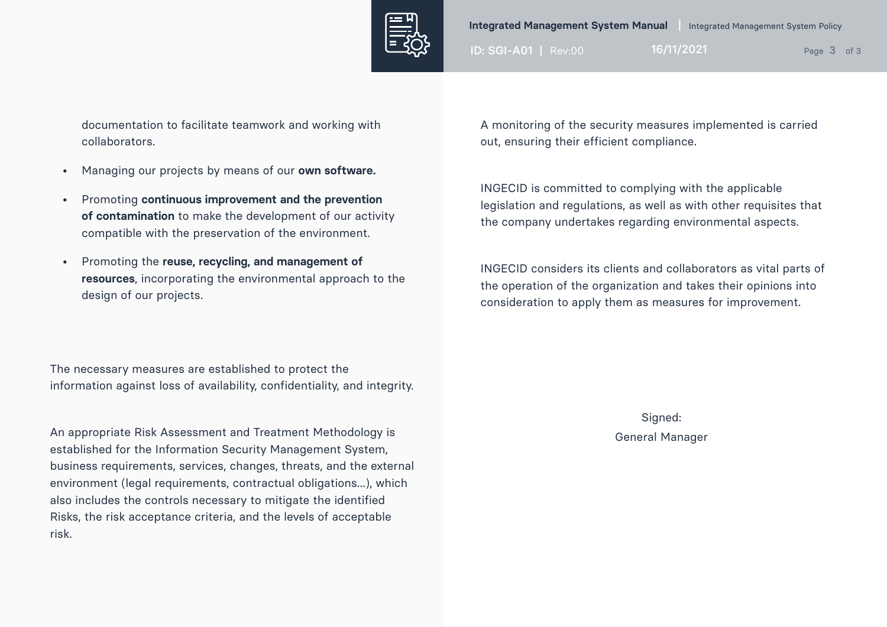

ID: SGI-A01 | Rev:00 16/11/2021 Page 3 of 3

documentation to facilitate teamwork and working with collaborators.

- Managing our projects by means of our **own software.**
- Promoting **continuous improvement and the prevention of contamination** to make the development of our activity compatible with the preservation of the environment.
- Promoting the **reuse, recycling, and management of resources**, incorporating the environmental approach to the design of our projects.

The necessary measures are established to protect the information against loss of availability, confidentiality, and integrity.

An appropriate Risk Assessment and Treatment Methodology is established for the Information Security Management System, business requirements, services, changes, threats, and the external environment (legal requirements, contractual obligations...), which also includes the controls necessary to mitigate the identified Risks, the risk acceptance criteria, and the levels of acceptable risk.

A monitoring of the security measures implemented is carried out, ensuring their efficient compliance.

INGECID is committed to complying with the applicable legislation and regulations, as well as with other requisites that the company undertakes regarding environmental aspects.

INGECID considers its clients and collaborators as vital parts of the operation of the organization and takes their opinions into consideration to apply them as measures for improvement.

> Signed: General Manager